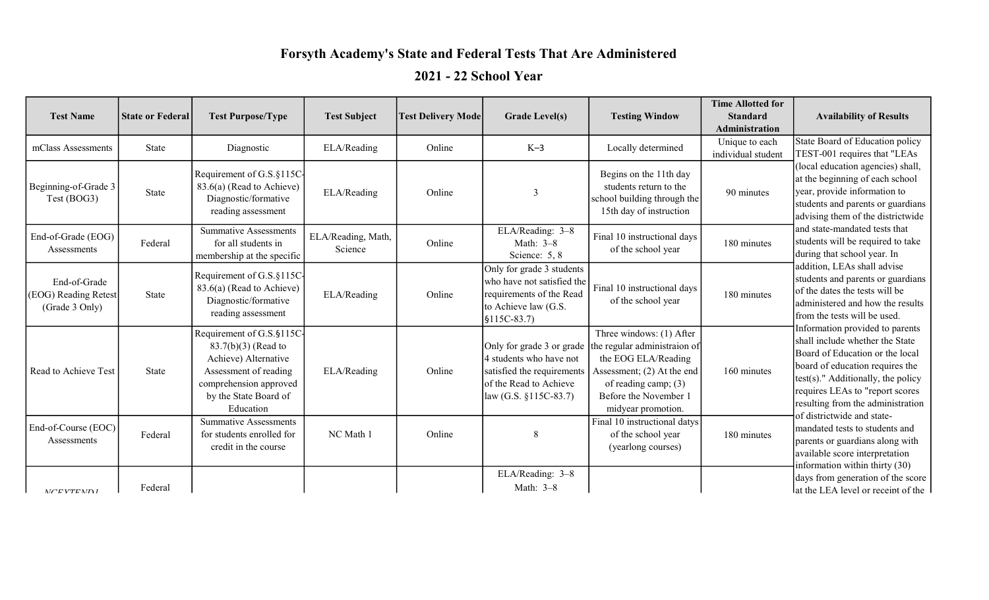## Forsyth Academy's State and Federal Tests That Are Administered

## 2021 - 22 School Year

| <b>Test Name</b>                                       | <b>State or Federal</b> | <b>Test Purpose/Type</b>                                                                                                                                            | <b>Test Subject</b>           | <b>Test Delivery Mode</b> | <b>Grade Level(s)</b>                                                                                                                    | <b>Testing Window</b>                                                                                                                                                                | <b>Time Allotted for</b><br><b>Standard</b><br>Administration | <b>Availability of Results</b>                                                                                                                                                                                                                                                             |
|--------------------------------------------------------|-------------------------|---------------------------------------------------------------------------------------------------------------------------------------------------------------------|-------------------------------|---------------------------|------------------------------------------------------------------------------------------------------------------------------------------|--------------------------------------------------------------------------------------------------------------------------------------------------------------------------------------|---------------------------------------------------------------|--------------------------------------------------------------------------------------------------------------------------------------------------------------------------------------------------------------------------------------------------------------------------------------------|
| mClass Assessments                                     | State                   | Diagnostic                                                                                                                                                          | ELA/Reading                   | Online                    | $K-3$                                                                                                                                    | Locally determined                                                                                                                                                                   | Unique to each<br>individual student                          | State Board of Education policy<br>TEST-001 requires that "LEAs                                                                                                                                                                                                                            |
| Beginning-of-Grade 3<br>Test (BOG3)                    | State                   | Requirement of G.S.§115C-<br>83.6(a) (Read to Achieve)<br>Diagnostic/formative<br>reading assessment                                                                | ELA/Reading                   | Online                    | 3                                                                                                                                        | Begins on the 11th day<br>students return to the<br>school building through the<br>15th day of instruction                                                                           | 90 minutes                                                    | (local education agencies) shall,<br>at the beginning of each school<br>year, provide information to<br>students and parents or guardians<br>advising them of the districtwide                                                                                                             |
| End-of-Grade (EOG)<br>Assessments                      | Federal                 | <b>Summative Assessments</b><br>for all students in<br>membership at the specific                                                                                   | ELA/Reading, Math,<br>Science | Online                    | ELA/Reading: 3-8<br>Math: 3-8<br>Science: 5, 8                                                                                           | Final 10 instructional days<br>of the school year                                                                                                                                    | 180 minutes                                                   | and state-mandated tests that<br>students will be required to take<br>during that school year. In                                                                                                                                                                                          |
| End-of-Grade<br>(EOG) Reading Retest<br>(Grade 3 Only) | State                   | Requirement of G.S.§115C-<br>83.6(a) (Read to Achieve)<br>Diagnostic/formative<br>reading assessment                                                                | ELA/Reading                   | Online                    | Only for grade 3 students<br>who have not satisfied the<br>requirements of the Read<br>to Achieve law (G.S.<br>$$115C-83.7$              | Final 10 instructional days<br>of the school year                                                                                                                                    | 180 minutes                                                   | addition, LEAs shall advise<br>students and parents or guardians<br>of the dates the tests will be<br>administered and how the results<br>from the tests will be used.                                                                                                                     |
| Read to Achieve Test                                   | State                   | Requirement of G.S.§115C-<br>$83.7(b)(3)$ (Read to<br>Achieve) Alternative<br>Assessment of reading<br>comprehension approved<br>by the State Board of<br>Education | ELA/Reading                   | Online                    | Only for grade 3 or grade<br>4 students who have not<br>satisfied the requirements<br>of the Read to Achieve<br>law (G.S. $§115C-83.7$ ) | Three windows: (1) After<br>the regular administraion of<br>the EOG ELA/Reading<br>Assessment; (2) At the end<br>of reading camp; (3)<br>Before the November 1<br>midyear promotion. | 160 minutes                                                   | Information provided to parents<br>shall include whether the State<br>Board of Education or the local<br>board of education requires the<br>$ test(s) $ ." Additionally, the policy<br>requires LEAs to "report scores"<br>resulting from the administration<br>of districtwide and state- |
| End-of-Course (EOC)<br>Assessments                     | Federal                 | <b>Summative Assessments</b><br>for students enrolled for<br>credit in the course                                                                                   | NC Math 1                     | Online                    | 8                                                                                                                                        | $\overline{\text{Final}}$ 10 instructional datys<br>of the school year<br>(yearlong courses)                                                                                         | 180 minutes                                                   | mandated tests to students and<br>parents or guardians along with<br>available score interpretation<br>information within thirty (30)                                                                                                                                                      |
| MCFVTEMDI                                              | Federal                 |                                                                                                                                                                     |                               |                           | ELA/Reading: 3-8<br>Math: 3-8                                                                                                            |                                                                                                                                                                                      |                                                               | days from generation of the score<br>lat the LEA level or receipt of the                                                                                                                                                                                                                   |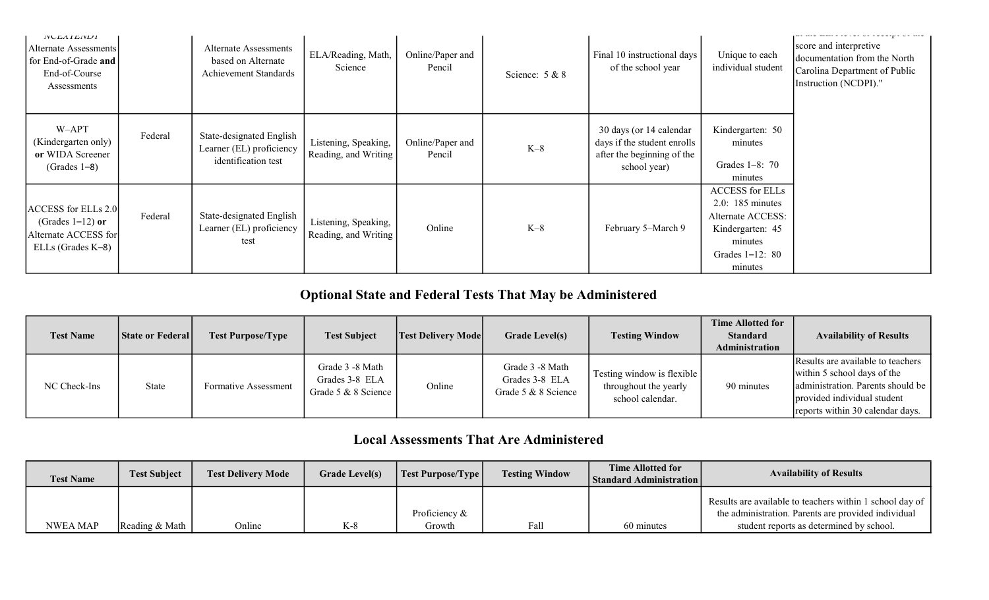| <b>IVULAILIVILI</b><br>Alternate Assessments<br>for End-of-Grade and<br>End-of-Course<br>Assessments |         | <b>Alternate Assessments</b><br>based on Alternate<br>Achievement Standards | ELA/Reading, Math,<br>Science                | Online/Paper and<br>Pencil | Science: $5 & 8$ | Final 10 instructional days<br>of the school year                                                    | Unique to each<br>individual student                                                                                          | score and interpretive<br>documentation from the North<br>Carolina Department of Public<br>Instruction (NCDPI)." |
|------------------------------------------------------------------------------------------------------|---------|-----------------------------------------------------------------------------|----------------------------------------------|----------------------------|------------------|------------------------------------------------------------------------------------------------------|-------------------------------------------------------------------------------------------------------------------------------|------------------------------------------------------------------------------------------------------------------|
| W-APT<br>(Kindergarten only)<br>or WIDA Screener<br>$(Grades 1-8)$                                   | Federal | State-designated English<br>Learner (EL) proficiency<br>identification test | Listening, Speaking,<br>Reading, and Writing | Online/Paper and<br>Pencil | $K-8$            | 30 days (or 14 calendar<br>days if the student enrolls<br>after the beginning of the<br>school year) | Kindergarten: 50<br>minutes<br>Grades $1-8:70$<br>minutes                                                                     |                                                                                                                  |
| ACCESS for ELLs 2.0<br>(Grades $1-12$ ) or<br>Alternate ACCESS for<br>ELLs (Grades K-8)              | Federal | State-designated English<br>Learner (EL) proficiency<br>test                | Listening, Speaking,<br>Reading, and Writing | Online                     | $K-8$            | February 5–March 9                                                                                   | <b>ACCESS</b> for ELLs<br>$2.0:185$ minutes<br>Alternate ACCESS:<br>Kindergarten: 45<br>minutes<br>Grades 1-12: 80<br>minutes |                                                                                                                  |

## Optional State and Federal Tests That May be Administered

| <b>Test Name</b> | <b>State or Federal</b> | <b>Test Purpose/Type</b> | <b>Test Subject</b>                                      | <b>Test Delivery Mode</b> | <b>Grade Level(s)</b>                                    | <b>Testing Window</b>                                                   | <b>Time Allotted for</b><br><b>Standard</b><br>Administration | <b>Availability of Results</b>                                                                                                                                           |
|------------------|-------------------------|--------------------------|----------------------------------------------------------|---------------------------|----------------------------------------------------------|-------------------------------------------------------------------------|---------------------------------------------------------------|--------------------------------------------------------------------------------------------------------------------------------------------------------------------------|
| NC Check-Ins     | State                   | Formative Assessment     | Grade 3 -8 Math<br>Grades 3-8 ELA<br>Grade 5 & 8 Science | Online                    | Grade 3 -8 Math<br>Grades 3-8 ELA<br>Grade 5 & 8 Science | Testing window is flexible<br>throughout the yearly<br>school calendar. | 90 minutes                                                    | Results are available to teachers<br>within 5 school days of the<br>administration. Parents should be<br>provided individual student<br>reports within 30 calendar days. |

## Local Assessments That Are Administered

| <b>Test Name</b> | <b>Test Subject</b>     | <b>Test Delivery Mode</b> | <b>Grade Level(s)</b> | Test Purpose/Type | <b>Testing Window</b> | <b>Time Allotted for</b><br>  Standard Administration | <b>Availability of Results</b>                           |
|------------------|-------------------------|---------------------------|-----------------------|-------------------|-----------------------|-------------------------------------------------------|----------------------------------------------------------|
|                  |                         |                           |                       |                   |                       |                                                       | Results are available to teachers within 1 school day of |
|                  |                         |                           |                       | Proficiency &     |                       |                                                       | the administration. Parents are provided individual      |
| NWEA MAP         | Reading $& \text{Math}$ | Online                    | $K-8$                 | Growth            | Fall                  | 60 minutes                                            | student reports as determined by school.                 |